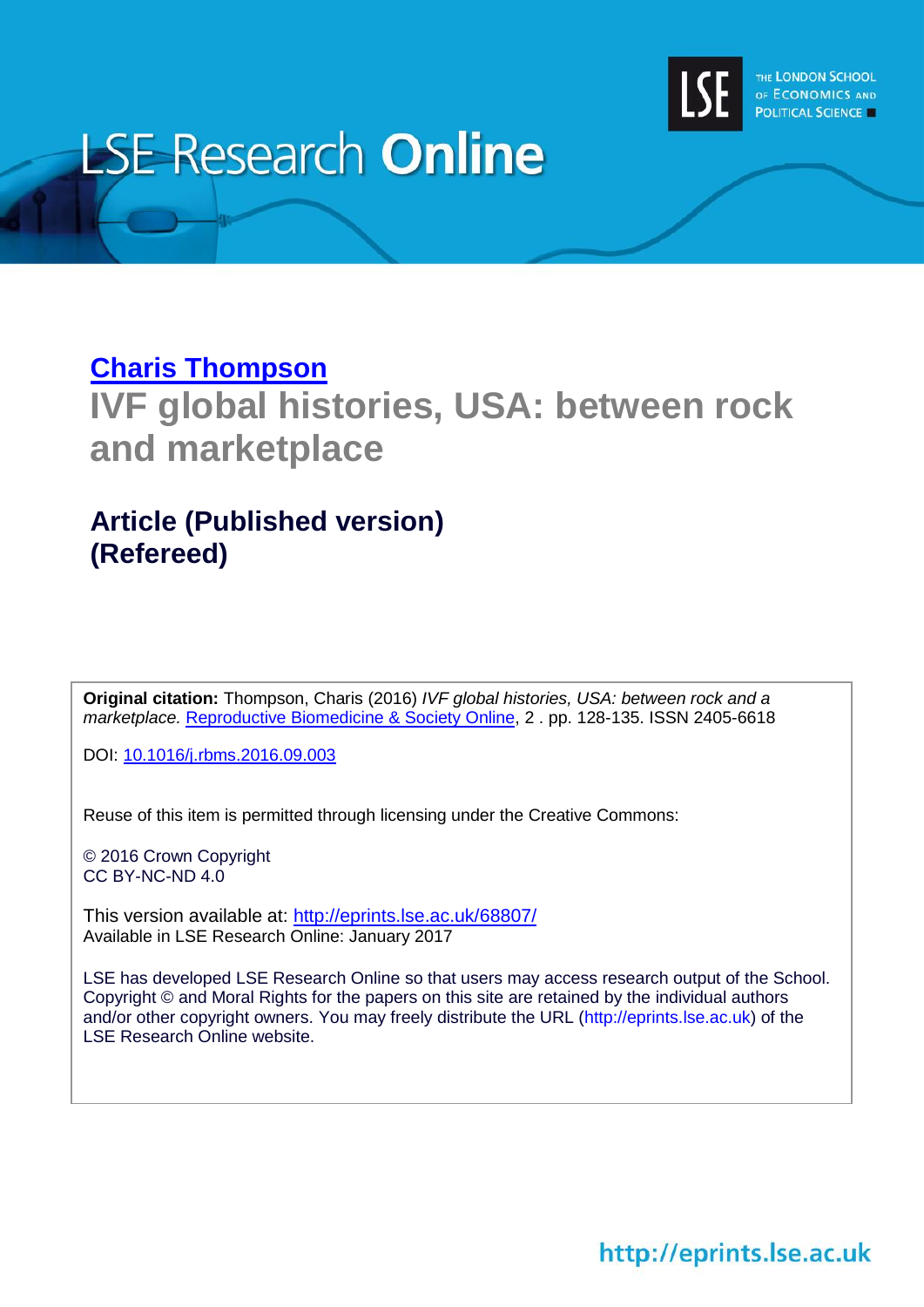

# **LSE Research Online**

# **[Charis Thompson](mailto:http://www.lse.ac.uk/sociology/whoswho/academic/thompson.aspx) IVF global histories, USA: between rock and marketplace**

### **Article (Published version) (Refereed)**

**Original citation:** Thompson, Charis (2016) *IVF global histories, USA: between rock and a marketplace.* [Reproductive Biomedicine & Society Online,](mailto:https://www.journals.elsevier.com/reproductive-biomedicine-and-society-online/) 2 . pp. 128-135. ISSN 2405-6618

DOI: [10.1016/j.rbms.2016.09.003](mailto:http://dx.doi.org/10.1016/j.rbms.2016.09.003)

Reuse of this item is permitted through licensing under the Creative Commons:

© 2016 Crown Copyright CC BY-NC-ND 4.0

This version available at: <http://eprints.lse.ac.uk/68807/> Available in LSE Research Online: January 2017

LSE has developed LSE Research Online so that users may access research output of the School. Copyright © and Moral Rights for the papers on this site are retained by the individual authors and/or other copyright owners. You may freely distribute the URL (http://eprints.lse.ac.uk) of the LSE Research Online website.

http://eprints.lse.ac.uk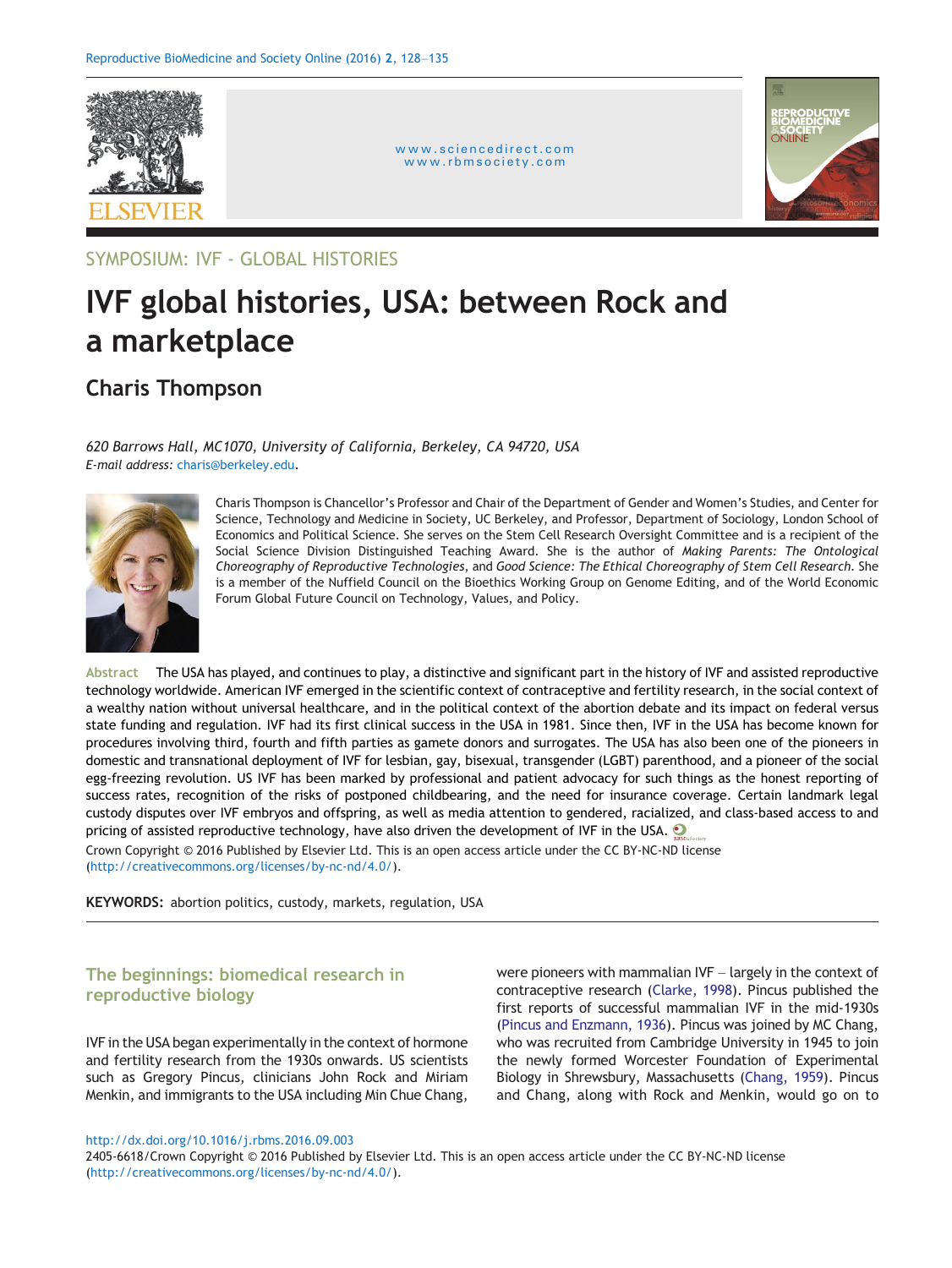

### SYMPOSIUM: IVF - GLOBAL HISTORIES

## IVF global histories, USA: between Rock and a marketplace

### Charis Thompson

620 Barrows Hall, MC1070, University of California, Berkeley, CA 94720, USA E-mail address: [charis@berkeley.edu](mailto:charis@berkeley.edu).



Charis Thompson is Chancellor's Professor and Chair of the Department of Gender and Women's Studies, and Center for Science, Technology and Medicine in Society, UC Berkeley, and Professor, Department of Sociology, London School of Economics and Political Science. She serves on the Stem Cell Research Oversight Committee and is a recipient of the Social Science Division Distinguished Teaching Award. She is the author of Making Parents: The Ontological Choreography of Reproductive Technologies, and Good Science: The Ethical Choreography of Stem Cell Research. She is a member of the Nuffield Council on the Bioethics Working Group on Genome Editing, and of the World Economic Forum Global Future Council on Technology, Values, and Policy.

Abstract The USA has played, and continues to play, a distinctive and significant part in the history of IVF and assisted reproductive technology worldwide. American IVF emerged in the scientific context of contraceptive and fertility research, in the social context of a wealthy nation without universal healthcare, and in the political context of the abortion debate and its impact on federal versus state funding and regulation. IVF had its first clinical success in the USA in 1981. Since then, IVF in the USA has become known for procedures involving third, fourth and fifth parties as gamete donors and surrogates. The USA has also been one of the pioneers in domestic and transnational deployment of IVF for lesbian, gay, bisexual, transgender (LGBT) parenthood, and a pioneer of the social egg-freezing revolution. US IVF has been marked by professional and patient advocacy for such things as the honest reporting of success rates, recognition of the risks of postponed childbearing, and the need for insurance coverage. Certain landmark legal custody disputes over IVF embryos and offspring, as well as media attention to gendered, racialized, and class-based access to and pricing of assisted reproductive technology, have also driven the development of IVF in the USA.  $\odot$ Crown Copyright © 2016 Published by Elsevier Ltd. This is an open access article under the CC BY-NC-ND license

(http://creativecommons.org/licenses/by-nc-nd/4.0/).

KEYWORDS: abortion politics, custody, markets, regulation, USA

#### The beginnings: biomedical research in reproductive biology

IVF in the USA began experimentally in the context of hormone and fertility research from the 1930s onwards. US scientists such as Gregory Pincus, clinicians John Rock and Miriam Menkin, and immigrants to the USA including Min Chue Chang, were pioneers with mammalian IVF – largely in the context of contraceptive research [\(Clarke, 1998](#page-8-0)). Pincus published the first reports of successful mammalian IVF in the mid-1930s [\(Pincus and Enzmann, 1936\)](#page-8-0). Pincus was joined by MC Chang, who was recruited from Cambridge University in 1945 to join the newly formed Worcester Foundation of Experimental Biology in Shrewsbury, Massachusetts [\(Chang, 1959](#page-8-0)). Pincus and Chang, along with Rock and Menkin, would go on to

<http://dx.doi.org/10.1016/j.rbms.2016.09.003>

2405-6618/Crown Copyright © 2016 Published by Elsevier Ltd. This is an open access article under the CC BY-NC-ND license (http://creativecommons.org/licenses/by-nc-nd/4.0/).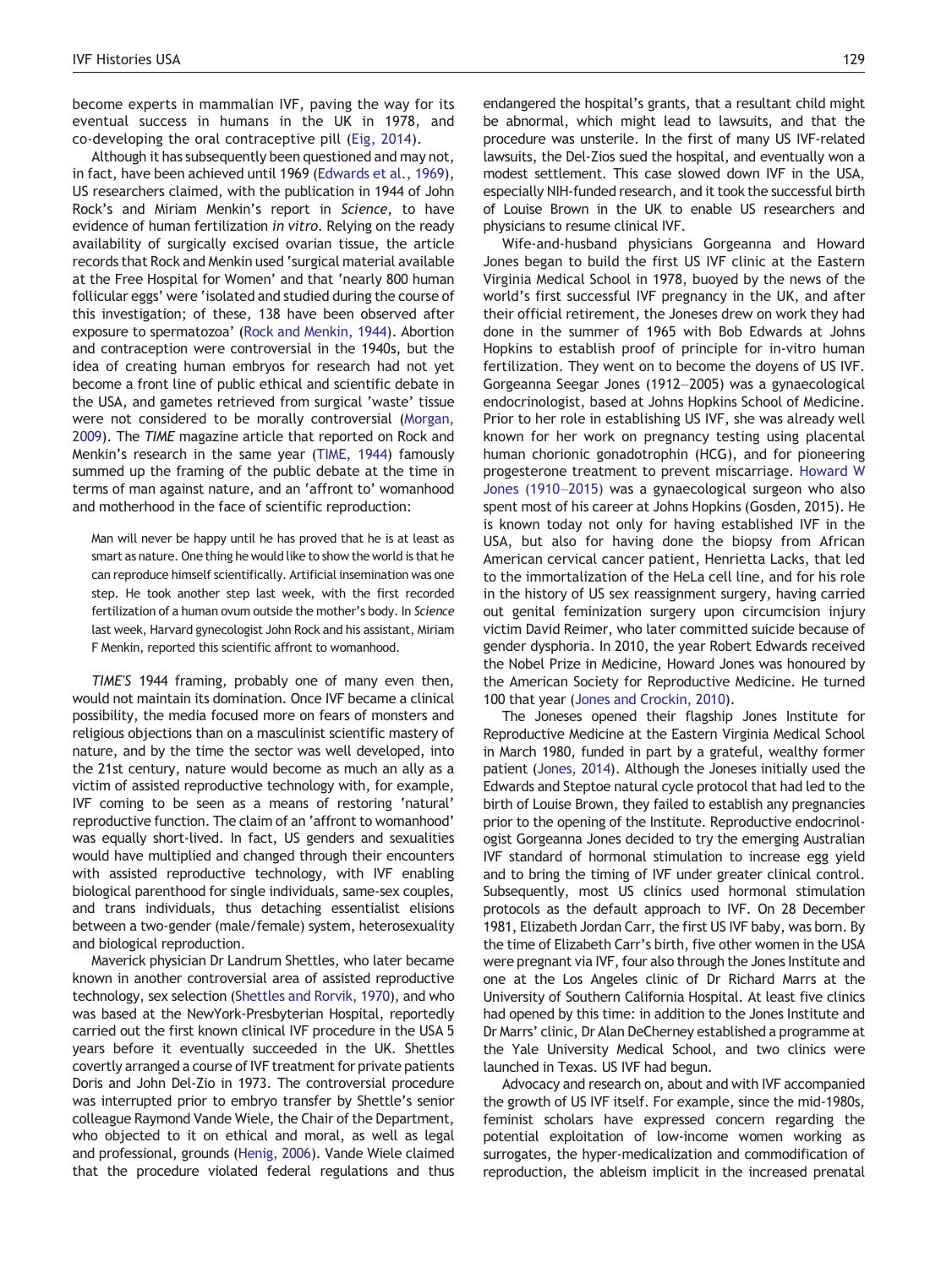become experts in mammalian IVF, paving the way for its eventual success in humans in the UK in 1978, and co-developing the oral contraceptive pill ([Eig, 2014\)](#page-8-0).

Although it has subsequently been questioned and may not, in fact, have been achieved until 1969 ([Edwards et al., 1969](#page-8-0)), US researchers claimed, with the publication in 1944 of John Rock's and Miriam Menkin's report in Science, to have evidence of human fertilization in vitro. Relying on the ready availability of surgically excised ovarian tissue, the article records that Rock and Menkin used 'surgical material available at the Free Hospital for Women' and that 'nearly 800 human follicular eggs' were 'isolated and studied during the course of this investigation; of these, 138 have been observed after exposure to spermatozoa' ([Rock and Menkin, 1944](#page-8-0)). Abortion and contraception were controversial in the 1940s, but the idea of creating human embryos for research had not yet become a front line of public ethical and scientific debate in the USA, and gametes retrieved from surgical 'waste' tissue were not considered to be morally controversial [\(Morgan,](#page-8-0) [2009\)](#page-8-0). The TIME magazine article that reported on Rock and Menkin's research in the same year [\(TIME, 1944](#page-8-0)) famously summed up the framing of the public debate at the time in terms of man against nature, and an 'affront to' womanhood and motherhood in the face of scientific reproduction:

Man will never be happy until he has proved that he is at least as smart as nature. One thing he would like to show the world is that he can reproduce himself scientifically. Artificial insemination was one step. He took another step last week, with the first recorded fertilization of a human ovum outside the mother's body. In Science last week, Harvard gynecologist John Rock and his assistant, Miriam F Menkin, reported this scientific affront to womanhood.

TIME'S 1944 framing, probably one of many even then, would not maintain its domination. Once IVF became a clinical possibility, the media focused more on fears of monsters and religious objections than on a masculinist scientific mastery of nature, and by the time the sector was well developed, into the 21st century, nature would become as much an ally as a victim of assisted reproductive technology with, for example, IVF coming to be seen as a means of restoring 'natural' reproductive function. The claim of an 'affront to womanhood' was equally short-lived. In fact, US genders and sexualities would have multiplied and changed through their encounters with assisted reproductive technology, with IVF enabling biological parenthood for single individuals, same-sex couples, and trans individuals, thus detaching essentialist elisions between a two-gender (male/female) system, heterosexuality and biological reproduction.

Maverick physician Dr Landrum Shettles, who later became known in another controversial area of assisted reproductive technology, sex selection [\(Shettles and Rorvik, 1970\)](#page-8-0), and who was based at the NewYork-Presbyterian Hospital, reportedly carried out the first known clinical IVF procedure in the USA 5 years before it eventually succeeded in the UK. Shettles covertly arranged a course of IVF treatment for private patients Doris and John Del-Zio in 1973. The controversial procedure was interrupted prior to embryo transfer by Shettle's senior colleague Raymond Vande Wiele, the Chair of the Department, who objected to it on ethical and moral, as well as legal and professional, grounds [\(Henig, 2006\)](#page-8-0). Vande Wiele claimed that the procedure violated federal regulations and thus endangered the hospital's grants, that a resultant child might be abnormal, which might lead to lawsuits, and that the procedure was unsterile. In the first of many US IVF-related lawsuits, the Del-Zios sued the hospital, and eventually won a modest settlement. This case slowed down IVF in the USA, especially NIH-funded research, and it took the successful birth of Louise Brown in the UK to enable US researchers and physicians to resume clinical IVF.

Wife-and-husband physicians Gorgeanna and Howard Jones began to build the first US IVF clinic at the Eastern Virginia Medical School in 1978, buoyed by the news of the world's first successful IVF pregnancy in the UK, and after their official retirement, the Joneses drew on work they had done in the summer of 1965 with Bob Edwards at Johns Hopkins to establish proof of principle for in-vitro human fertilization. They went on to become the doyens of US IVF. Gorgeanna Seegar Jones (1912–2005) was a gynaecological endocrinologist, based at Johns Hopkins School of Medicine. Prior to her role in establishing US IVF, she was already well known for her work on pregnancy testing using placental human chorionic gonadotrophin (HCG), and for pioneering progesterone treatment to prevent miscarriage. [Howard W](#page-8-0) [Jones \(1910](#page-8-0)–2015) was a gynaecological surgeon who also spent most of his career at Johns Hopkins (Gosden, 2015). He is known today not only for having established IVF in the USA, but also for having done the biopsy from African American cervical cancer patient, Henrietta Lacks, that led to the immortalization of the HeLa cell line, and for his role in the history of US sex reassignment surgery, having carried out genital feminization surgery upon circumcision injury victim David Reimer, who later committed suicide because of gender dysphoria. In 2010, the year Robert Edwards received the Nobel Prize in Medicine, Howard Jones was honoured by the American Society for Reproductive Medicine. He turned 100 that year ([Jones and Crockin, 2010\)](#page-8-0).

The Joneses opened their flagship Jones Institute for Reproductive Medicine at the Eastern Virginia Medical School in March 1980, funded in part by a grateful, wealthy former patient [\(Jones, 2014\)](#page-8-0). Although the Joneses initially used the Edwards and Steptoe natural cycle protocol that had led to the birth of Louise Brown, they failed to establish any pregnancies prior to the opening of the Institute. Reproductive endocrinologist Gorgeanna Jones decided to try the emerging Australian IVF standard of hormonal stimulation to increase egg yield and to bring the timing of IVF under greater clinical control. Subsequently, most US clinics used hormonal stimulation protocols as the default approach to IVF. On 28 December 1981, Elizabeth Jordan Carr, the first US IVF baby, was born. By the time of Elizabeth Carr's birth, five other women in the USA were pregnant via IVF, four also through the Jones Institute and one at the Los Angeles clinic of Dr Richard Marrs at the University of Southern California Hospital. At least five clinics had opened by this time: in addition to the Jones Institute and Dr Marrs' clinic, Dr Alan DeCherney established a programme at the Yale University Medical School, and two clinics were launched in Texas. US IVF had begun.

Advocacy and research on, about and with IVF accompanied the growth of US IVF itself. For example, since the mid-1980s, feminist scholars have expressed concern regarding the potential exploitation of low-income women working as surrogates, the hyper-medicalization and commodification of reproduction, the ableism implicit in the increased prenatal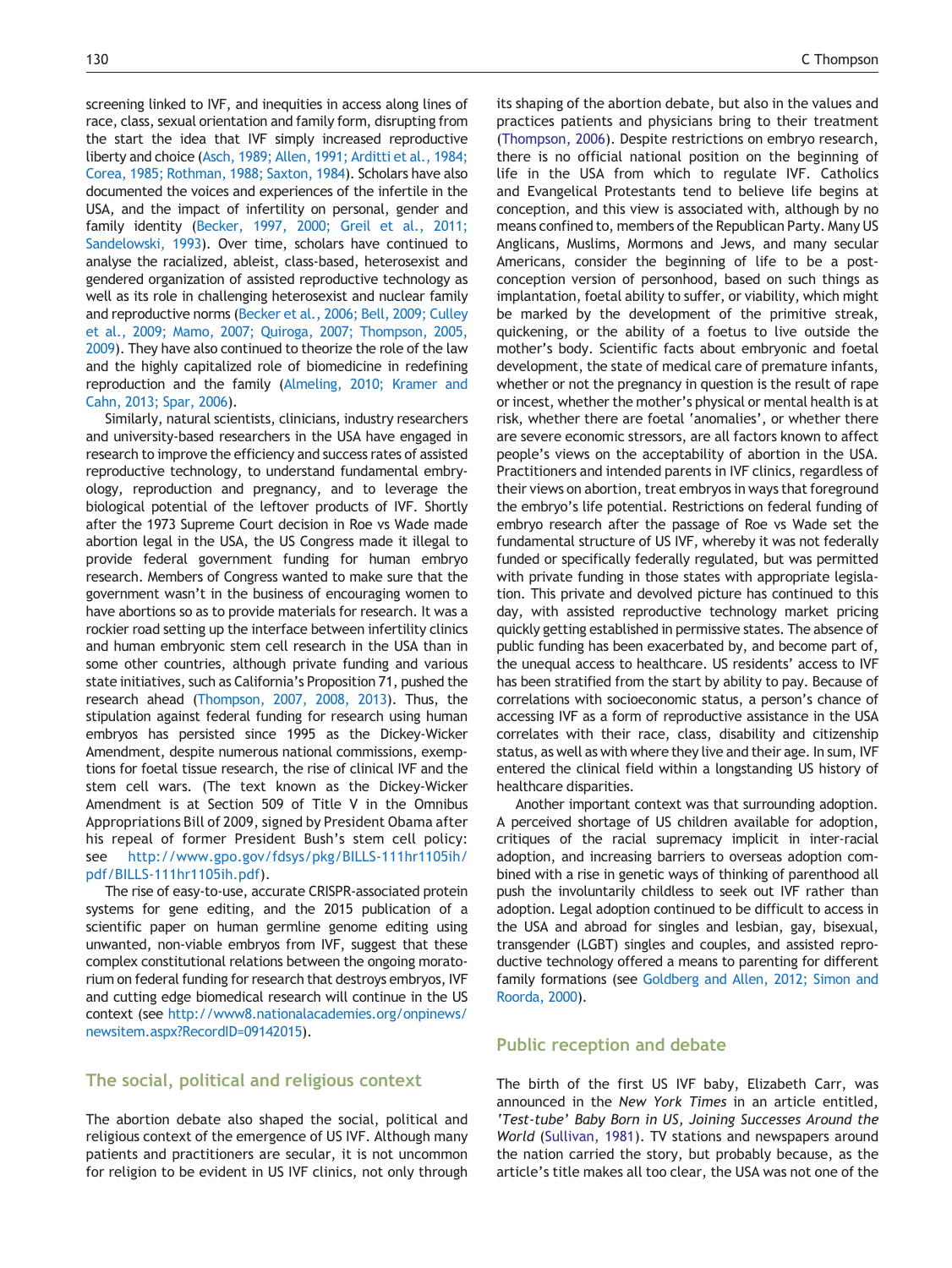screening linked to IVF, and inequities in access along lines of race, class, sexual orientation and family form, disrupting from the start the idea that IVF simply increased reproductive liberty and choice ([Asch, 1989; Allen, 1991; Arditti et al., 1984;](#page-8-0) [Corea, 1985; Rothman, 1988; Saxton, 1984\)](#page-8-0). Scholars have also documented the voices and experiences of the infertile in the USA, and the impact of infertility on personal, gender and family identity [\(Becker, 1997, 2000; Greil et al., 2011;](#page-8-0) [Sandelowski, 1993\)](#page-8-0). Over time, scholars have continued to analyse the racialized, ableist, class-based, heterosexist and gendered organization of assisted reproductive technology as well as its role in challenging heterosexist and nuclear family and reproductive norms [\(Becker et al., 2006; Bell, 2009; Culley](#page-8-0) [et al., 2009; Mamo, 2007; Quiroga, 2007; Thompson, 2005,](#page-8-0) [2009\)](#page-8-0). They have also continued to theorize the role of the law and the highly capitalized role of biomedicine in redefining reproduction and the family ([Almeling, 2010; Kramer and](#page-7-0) [Cahn, 2013; Spar, 2006](#page-7-0)).

Similarly, natural scientists, clinicians, industry researchers and university-based researchers in the USA have engaged in research to improve the efficiency and success rates of assisted reproductive technology, to understand fundamental embryology, reproduction and pregnancy, and to leverage the biological potential of the leftover products of IVF. Shortly after the 1973 Supreme Court decision in Roe vs Wade made abortion legal in the USA, the US Congress made it illegal to provide federal government funding for human embryo research. Members of Congress wanted to make sure that the government wasn't in the business of encouraging women to have abortions so as to provide materials for research. It was a rockier road setting up the interface between infertility clinics and human embryonic stem cell research in the USA than in some other countries, although private funding and various state initiatives, such as California's Proposition 71, pushed the research ahead ([Thompson, 2007, 2008, 2013](#page-8-0)). Thus, the stipulation against federal funding for research using human embryos has persisted since 1995 as the Dickey-Wicker Amendment, despite numerous national commissions, exemptions for foetal tissue research, the rise of clinical IVF and the stem cell wars. (The text known as the Dickey-Wicker Amendment is at Section 509 of Title V in the Omnibus Appropriations Bill of 2009, signed by President Obama after his repeal of former President Bush's stem cell policy: see [http://www.gpo.gov/fdsys/pkg/BILLS-111hr1105ih/](http://www.gpo.gov/fdsys/pkg/BILLS-111hr1105ih/pdf/BILLS-111hr1105ih.pdf) [pdf/BILLS-111hr1105ih.pdf\)](http://www.gpo.gov/fdsys/pkg/BILLS-111hr1105ih/pdf/BILLS-111hr1105ih.pdf).

The rise of easy-to-use, accurate CRISPR-associated protein systems for gene editing, and the 2015 publication of a scientific paper on human germline genome editing using unwanted, non-viable embryos from IVF, suggest that these complex constitutional relations between the ongoing moratorium on federal funding for research that destroys embryos, IVF and cutting edge biomedical research will continue in the US context (see [http://www8.nationalacademies.org/onpinews/](http://www8.nationalacademies.org/onpinews/newsitem.aspx?RecordID=09142015) [newsitem.aspx?RecordID=09142015\)](http://www8.nationalacademies.org/onpinews/newsitem.aspx?RecordID=09142015).

#### The social, political and religious context

The abortion debate also shaped the social, political and religious context of the emergence of US IVF. Although many patients and practitioners are secular, it is not uncommon for religion to be evident in US IVF clinics, not only through its shaping of the abortion debate, but also in the values and practices patients and physicians bring to their treatment [\(Thompson, 2006\)](#page-8-0). Despite restrictions on embryo research, there is no official national position on the beginning of life in the USA from which to regulate IVF. Catholics and Evangelical Protestants tend to believe life begins at conception, and this view is associated with, although by no means confined to, members of the Republican Party. Many US Anglicans, Muslims, Mormons and Jews, and many secular Americans, consider the beginning of life to be a postconception version of personhood, based on such things as implantation, foetal ability to suffer, or viability, which might be marked by the development of the primitive streak, quickening, or the ability of a foetus to live outside the mother's body. Scientific facts about embryonic and foetal development, the state of medical care of premature infants, whether or not the pregnancy in question is the result of rape or incest, whether the mother's physical or mental health is at risk, whether there are foetal 'anomalies', or whether there are severe economic stressors, are all factors known to affect people's views on the acceptability of abortion in the USA. Practitioners and intended parents in IVF clinics, regardless of their views on abortion, treat embryos in ways that foreground the embryo's life potential. Restrictions on federal funding of embryo research after the passage of Roe vs Wade set the fundamental structure of US IVF, whereby it was not federally funded or specifically federally regulated, but was permitted with private funding in those states with appropriate legislation. This private and devolved picture has continued to this day, with assisted reproductive technology market pricing quickly getting established in permissive states. The absence of public funding has been exacerbated by, and become part of, the unequal access to healthcare. US residents' access to IVF has been stratified from the start by ability to pay. Because of correlations with socioeconomic status, a person's chance of accessing IVF as a form of reproductive assistance in the USA correlates with their race, class, disability and citizenship status, as well as with where they live and their age. In sum, IVF entered the clinical field within a longstanding US history of healthcare disparities.

Another important context was that surrounding adoption. A perceived shortage of US children available for adoption, critiques of the racial supremacy implicit in inter-racial adoption, and increasing barriers to overseas adoption combined with a rise in genetic ways of thinking of parenthood all push the involuntarily childless to seek out IVF rather than adoption. Legal adoption continued to be difficult to access in the USA and abroad for singles and lesbian, gay, bisexual, transgender (LGBT) singles and couples, and assisted reproductive technology offered a means to parenting for different family formations (see [Goldberg and Allen, 2012; Simon and](#page-8-0) [Roorda, 2000](#page-8-0)).

#### Public reception and debate

The birth of the first US IVF baby, Elizabeth Carr, was announced in the New York Times in an article entitled, 'Test-tube' Baby Born in US, Joining Successes Around the World [\(Sullivan, 1981](#page-8-0)). TV stations and newspapers around the nation carried the story, but probably because, as the article's title makes all too clear, the USA was not one of the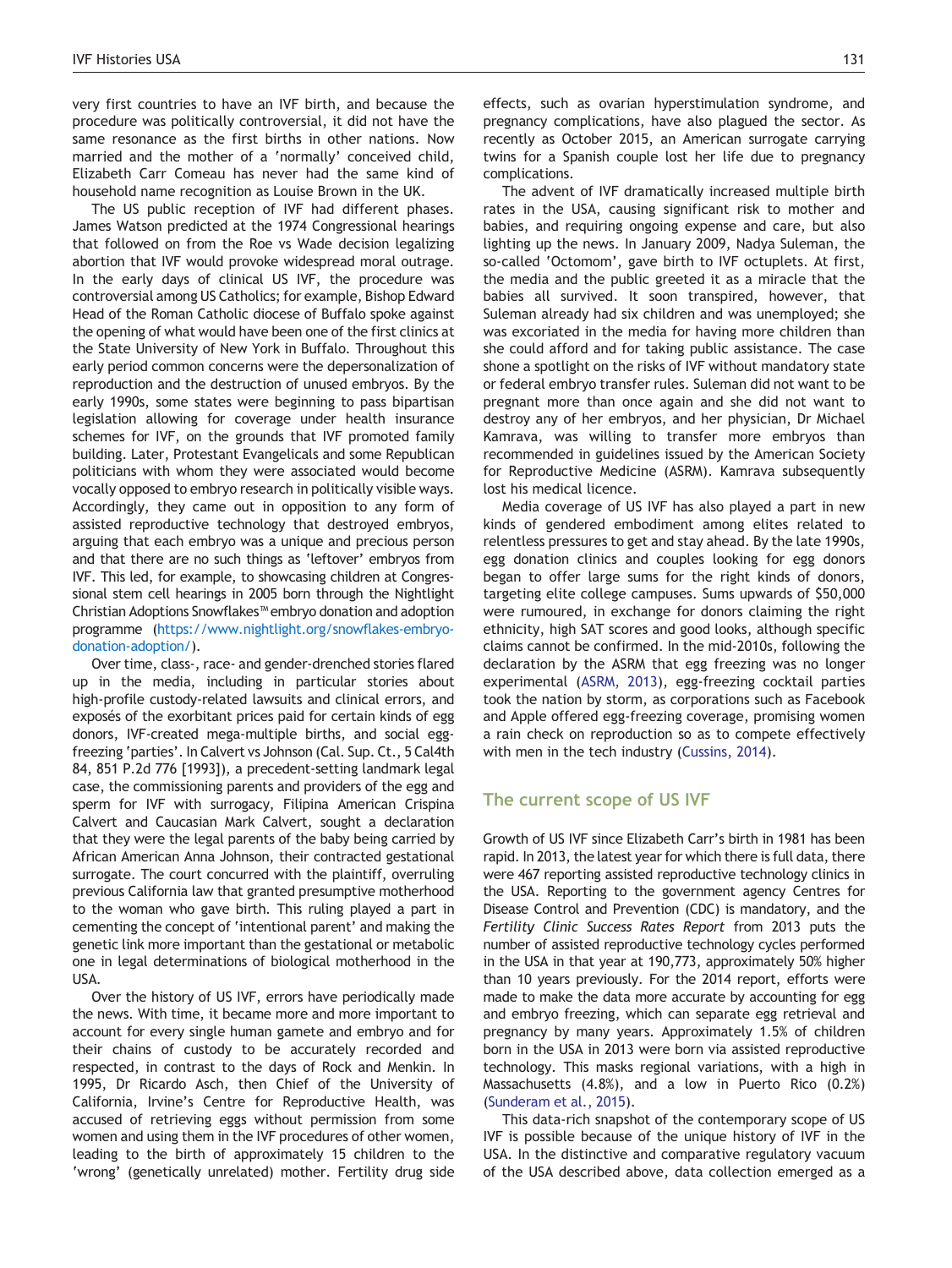very first countries to have an IVF birth, and because the procedure was politically controversial, it did not have the same resonance as the first births in other nations. Now married and the mother of a 'normally' conceived child, Elizabeth Carr Comeau has never had the same kind of household name recognition as Louise Brown in the UK.

The US public reception of IVF had different phases. James Watson predicted at the 1974 Congressional hearings that followed on from the Roe vs Wade decision legalizing abortion that IVF would provoke widespread moral outrage. In the early days of clinical US IVF, the procedure was controversial among US Catholics; for example, Bishop Edward Head of the Roman Catholic diocese of Buffalo spoke against the opening of what would have been one of the first clinics at the State University of New York in Buffalo. Throughout this early period common concerns were the depersonalization of reproduction and the destruction of unused embryos. By the early 1990s, some states were beginning to pass bipartisan legislation allowing for coverage under health insurance schemes for IVF, on the grounds that IVF promoted family building. Later, Protestant Evangelicals and some Republican politicians with whom they were associated would become vocally opposed to embryo research in politically visible ways. Accordingly, they came out in opposition to any form of assisted reproductive technology that destroyed embryos, arguing that each embryo was a unique and precious person and that there are no such things as 'leftover' embryos from IVF. This led, for example, to showcasing children at Congressional stem cell hearings in 2005 born through the Nightlight Christian Adoptions Snowflakes™ embryo donation and adoption programme [\(https://www.nightlight.org/snowflakes-embryo](https://www.nightlight.org/snowflakes-embryo-donation-adoption/)[donation-adoption/\)](https://www.nightlight.org/snowflakes-embryo-donation-adoption/).

Over time, class-, race- and gender-drenched stories flared up in the media, including in particular stories about high-profile custody-related lawsuits and clinical errors, and exposés of the exorbitant prices paid for certain kinds of egg donors, IVF-created mega-multiple births, and social eggfreezing 'parties'. In Calvert vs Johnson (Cal. Sup. Ct., 5 Cal4th 84, 851 P.2d 776 [1993]), a precedent-setting landmark legal case, the commissioning parents and providers of the egg and sperm for IVF with surrogacy, Filipina American Crispina Calvert and Caucasian Mark Calvert, sought a declaration that they were the legal parents of the baby being carried by African American Anna Johnson, their contracted gestational surrogate. The court concurred with the plaintiff, overruling previous California law that granted presumptive motherhood to the woman who gave birth. This ruling played a part in cementing the concept of 'intentional parent' and making the genetic link more important than the gestational or metabolic one in legal determinations of biological motherhood in the USA.

Over the history of US IVF, errors have periodically made the news. With time, it became more and more important to account for every single human gamete and embryo and for their chains of custody to be accurately recorded and respected, in contrast to the days of Rock and Menkin. In 1995, Dr Ricardo Asch, then Chief of the University of California, Irvine's Centre for Reproductive Health, was accused of retrieving eggs without permission from some women and using them in the IVF procedures of other women, leading to the birth of approximately 15 children to the 'wrong' (genetically unrelated) mother. Fertility drug side effects, such as ovarian hyperstimulation syndrome, and pregnancy complications, have also plagued the sector. As recently as October 2015, an American surrogate carrying twins for a Spanish couple lost her life due to pregnancy complications.

The advent of IVF dramatically increased multiple birth rates in the USA, causing significant risk to mother and babies, and requiring ongoing expense and care, but also lighting up the news. In January 2009, Nadya Suleman, the so-called 'Octomom', gave birth to IVF octuplets. At first, the media and the public greeted it as a miracle that the babies all survived. It soon transpired, however, that Suleman already had six children and was unemployed; she was excoriated in the media for having more children than she could afford and for taking public assistance. The case shone a spotlight on the risks of IVF without mandatory state or federal embryo transfer rules. Suleman did not want to be pregnant more than once again and she did not want to destroy any of her embryos, and her physician, Dr Michael Kamrava, was willing to transfer more embryos than recommended in guidelines issued by the American Society for Reproductive Medicine (ASRM). Kamrava subsequently lost his medical licence.

Media coverage of US IVF has also played a part in new kinds of gendered embodiment among elites related to relentless pressures to get and stay ahead. By the late 1990s, egg donation clinics and couples looking for egg donors began to offer large sums for the right kinds of donors, targeting elite college campuses. Sums upwards of \$50,000 were rumoured, in exchange for donors claiming the right ethnicity, high SAT scores and good looks, although specific claims cannot be confirmed. In the mid-2010s, following the declaration by the ASRM that egg freezing was no longer experimental ([ASRM, 2013\)](#page-8-0), egg-freezing cocktail parties took the nation by storm, as corporations such as Facebook and Apple offered egg-freezing coverage, promising women a rain check on reproduction so as to compete effectively with men in the tech industry ([Cussins, 2014\)](#page-8-0).

#### The current scope of US IVF

Growth of US IVF since Elizabeth Carr's birth in 1981 has been rapid. In 2013, the latest year for which there is full data, there were 467 reporting assisted reproductive technology clinics in the USA. Reporting to the government agency Centres for Disease Control and Prevention (CDC) is mandatory, and the Fertility Clinic Success Rates Report from 2013 puts the number of assisted reproductive technology cycles performed in the USA in that year at 190,773, approximately 50% higher than 10 years previously. For the 2014 report, efforts were made to make the data more accurate by accounting for egg and embryo freezing, which can separate egg retrieval and pregnancy by many years. Approximately 1.5% of children born in the USA in 2013 were born via assisted reproductive technology. This masks regional variations, with a high in Massachusetts (4.8%), and a low in Puerto Rico (0.2%) ([Sunderam et al., 2015](#page-8-0)).

This data-rich snapshot of the contemporary scope of US IVF is possible because of the unique history of IVF in the USA. In the distinctive and comparative regulatory vacuum of the USA described above, data collection emerged as a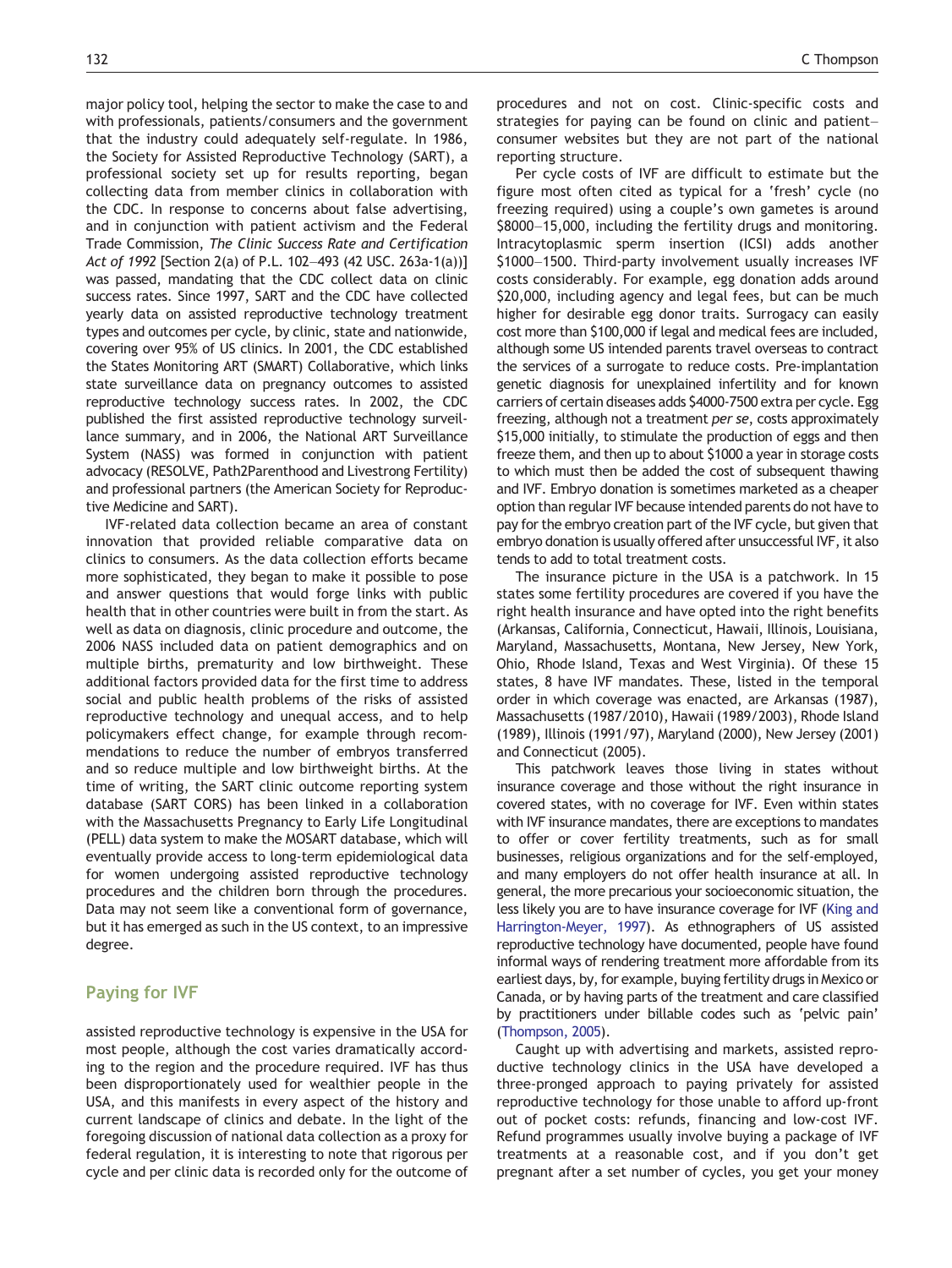major policy tool, helping the sector to make the case to and with professionals, patients/consumers and the government that the industry could adequately self-regulate. In 1986, the Society for Assisted Reproductive Technology (SART), a professional society set up for results reporting, began collecting data from member clinics in collaboration with the CDC. In response to concerns about false advertising, and in conjunction with patient activism and the Federal Trade Commission, The Clinic Success Rate and Certification Act of 1992 [Section 2(a) of P.L. 102–493 (42 USC. 263a-1(a))] was passed, mandating that the CDC collect data on clinic success rates. Since 1997, SART and the CDC have collected yearly data on assisted reproductive technology treatment types and outcomes per cycle, by clinic, state and nationwide, covering over 95% of US clinics. In 2001, the CDC established the States Monitoring ART (SMART) Collaborative, which links state surveillance data on pregnancy outcomes to assisted reproductive technology success rates. In 2002, the CDC published the first assisted reproductive technology surveillance summary, and in 2006, the National ART Surveillance System (NASS) was formed in conjunction with patient advocacy (RESOLVE, Path2Parenthood and Livestrong Fertility) and professional partners (the American Society for Reproductive Medicine and SART).

IVF-related data collection became an area of constant innovation that provided reliable comparative data on clinics to consumers. As the data collection efforts became more sophisticated, they began to make it possible to pose and answer questions that would forge links with public health that in other countries were built in from the start. As well as data on diagnosis, clinic procedure and outcome, the 2006 NASS included data on patient demographics and on multiple births, prematurity and low birthweight. These additional factors provided data for the first time to address social and public health problems of the risks of assisted reproductive technology and unequal access, and to help policymakers effect change, for example through recommendations to reduce the number of embryos transferred and so reduce multiple and low birthweight births. At the time of writing, the SART clinic outcome reporting system database (SART CORS) has been linked in a collaboration with the Massachusetts Pregnancy to Early Life Longitudinal (PELL) data system to make the MOSART database, which will eventually provide access to long-term epidemiological data for women undergoing assisted reproductive technology procedures and the children born through the procedures. Data may not seem like a conventional form of governance, but it has emerged as such in the US context, to an impressive degree.

#### Paying for IVF

assisted reproductive technology is expensive in the USA for most people, although the cost varies dramatically according to the region and the procedure required. IVF has thus been disproportionately used for wealthier people in the USA, and this manifests in every aspect of the history and current landscape of clinics and debate. In the light of the foregoing discussion of national data collection as a proxy for federal regulation, it is interesting to note that rigorous per cycle and per clinic data is recorded only for the outcome of

procedures and not on cost. Clinic-specific costs and strategies for paying can be found on clinic and patient– consumer websites but they are not part of the national reporting structure.

Per cycle costs of IVF are difficult to estimate but the figure most often cited as typical for a 'fresh' cycle (no freezing required) using a couple's own gametes is around \$8000–15,000, including the fertility drugs and monitoring. Intracytoplasmic sperm insertion (ICSI) adds another \$1000–1500. Third-party involvement usually increases IVF costs considerably. For example, egg donation adds around \$20,000, including agency and legal fees, but can be much higher for desirable egg donor traits. Surrogacy can easily cost more than \$100,000 if legal and medical fees are included, although some US intended parents travel overseas to contract the services of a surrogate to reduce costs. Pre-implantation genetic diagnosis for unexplained infertility and for known carriers of certain diseases adds \$4000-7500 extra per cycle. Egg freezing, although not a treatment per se, costs approximately \$15,000 initially, to stimulate the production of eggs and then freeze them, and then up to about \$1000 a year in storage costs to which must then be added the cost of subsequent thawing and IVF. Embryo donation is sometimes marketed as a cheaper option than regular IVF because intended parents do not have to pay for the embryo creation part of the IVF cycle, but given that embryo donation is usually offered after unsuccessful IVF, it also tends to add to total treatment costs.

The insurance picture in the USA is a patchwork. In 15 states some fertility procedures are covered if you have the right health insurance and have opted into the right benefits (Arkansas, California, Connecticut, Hawaii, Illinois, Louisiana, Maryland, Massachusetts, Montana, New Jersey, New York, Ohio, Rhode Island, Texas and West Virginia). Of these 15 states, 8 have IVF mandates. These, listed in the temporal order in which coverage was enacted, are Arkansas (1987), Massachusetts (1987/2010), Hawaii (1989/2003), Rhode Island (1989), Illinois (1991/97), Maryland (2000), New Jersey (2001) and Connecticut (2005).

This patchwork leaves those living in states without insurance coverage and those without the right insurance in covered states, with no coverage for IVF. Even within states with IVF insurance mandates, there are exceptions to mandates to offer or cover fertility treatments, such as for small businesses, religious organizations and for the self-employed, and many employers do not offer health insurance at all. In general, the more precarious your socioeconomic situation, the less likely you are to have insurance coverage for IVF [\(King and](#page-8-0) [Harrington-Meyer, 1997](#page-8-0)). As ethnographers of US assisted reproductive technology have documented, people have found informal ways of rendering treatment more affordable from its earliest days, by, for example, buying fertility drugs in Mexico or Canada, or by having parts of the treatment and care classified by practitioners under billable codes such as 'pelvic pain' [\(Thompson, 2005\)](#page-8-0).

Caught up with advertising and markets, assisted reproductive technology clinics in the USA have developed a three-pronged approach to paying privately for assisted reproductive technology for those unable to afford up-front out of pocket costs: refunds, financing and low-cost IVF. Refund programmes usually involve buying a package of IVF treatments at a reasonable cost, and if you don't get pregnant after a set number of cycles, you get your money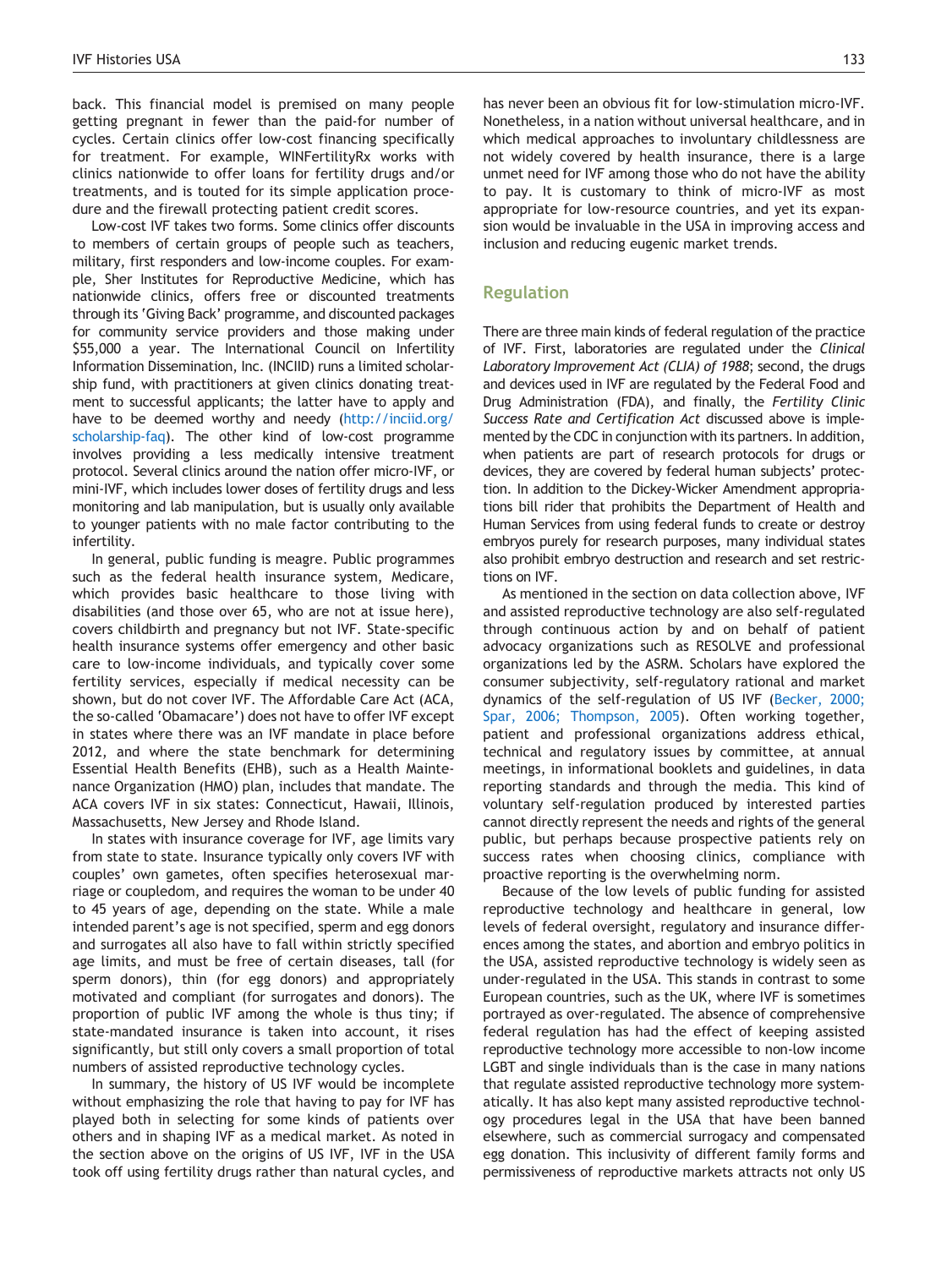back. This financial model is premised on many people getting pregnant in fewer than the paid-for number of cycles. Certain clinics offer low-cost financing specifically for treatment. For example, WINFertilityRx works with clinics nationwide to offer loans for fertility drugs and/or treatments, and is touted for its simple application procedure and the firewall protecting patient credit scores.

Low-cost IVF takes two forms. Some clinics offer discounts to members of certain groups of people such as teachers, military, first responders and low-income couples. For example, Sher Institutes for Reproductive Medicine, which has nationwide clinics, offers free or discounted treatments through its 'Giving Back' programme, and discounted packages for community service providers and those making under \$55,000 a year. The International Council on Infertility Information Dissemination, Inc. (INCIID) runs a limited scholarship fund, with practitioners at given clinics donating treatment to successful applicants; the latter have to apply and have to be deemed worthy and needy [\(http://inciid.org/](http://inciid.org/scholarship-faq) [scholarship-faq](http://inciid.org/scholarship-faq)). The other kind of low-cost programme involves providing a less medically intensive treatment protocol. Several clinics around the nation offer micro-IVF, or mini-IVF, which includes lower doses of fertility drugs and less monitoring and lab manipulation, but is usually only available to younger patients with no male factor contributing to the infertility.

In general, public funding is meagre. Public programmes such as the federal health insurance system, Medicare, which provides basic healthcare to those living with disabilities (and those over 65, who are not at issue here), covers childbirth and pregnancy but not IVF. State-specific health insurance systems offer emergency and other basic care to low-income individuals, and typically cover some fertility services, especially if medical necessity can be shown, but do not cover IVF. The Affordable Care Act (ACA, the so-called 'Obamacare') does not have to offer IVF except in states where there was an IVF mandate in place before 2012, and where the state benchmark for determining Essential Health Benefits (EHB), such as a Health Maintenance Organization (HMO) plan, includes that mandate. The ACA covers IVF in six states: Connecticut, Hawaii, Illinois, Massachusetts, New Jersey and Rhode Island.

In states with insurance coverage for IVF, age limits vary from state to state. Insurance typically only covers IVF with couples' own gametes, often specifies heterosexual marriage or coupledom, and requires the woman to be under 40 to 45 years of age, depending on the state. While a male intended parent's age is not specified, sperm and egg donors and surrogates all also have to fall within strictly specified age limits, and must be free of certain diseases, tall (for sperm donors), thin (for egg donors) and appropriately motivated and compliant (for surrogates and donors). The proportion of public IVF among the whole is thus tiny; if state-mandated insurance is taken into account, it rises significantly, but still only covers a small proportion of total numbers of assisted reproductive technology cycles.

In summary, the history of US IVF would be incomplete without emphasizing the role that having to pay for IVF has played both in selecting for some kinds of patients over others and in shaping IVF as a medical market. As noted in the section above on the origins of US IVF, IVF in the USA took off using fertility drugs rather than natural cycles, and has never been an obvious fit for low-stimulation micro-IVF. Nonetheless, in a nation without universal healthcare, and in which medical approaches to involuntary childlessness are not widely covered by health insurance, there is a large unmet need for IVF among those who do not have the ability to pay. It is customary to think of micro-IVF as most appropriate for low-resource countries, and yet its expansion would be invaluable in the USA in improving access and inclusion and reducing eugenic market trends.

#### Regulation

There are three main kinds of federal regulation of the practice of IVF. First, laboratories are regulated under the Clinical Laboratory Improvement Act (CLIA) of 1988; second, the drugs and devices used in IVF are regulated by the Federal Food and Drug Administration (FDA), and finally, the Fertility Clinic Success Rate and Certification Act discussed above is implemented by the CDC in conjunction with its partners. In addition, when patients are part of research protocols for drugs or devices, they are covered by federal human subjects' protection. In addition to the Dickey-Wicker Amendment appropriations bill rider that prohibits the Department of Health and Human Services from using federal funds to create or destroy embryos purely for research purposes, many individual states also prohibit embryo destruction and research and set restrictions on IVF.

As mentioned in the section on data collection above, IVF and assisted reproductive technology are also self-regulated through continuous action by and on behalf of patient advocacy organizations such as RESOLVE and professional organizations led by the ASRM. Scholars have explored the consumer subjectivity, self-regulatory rational and market dynamics of the self-regulation of US IVF ([Becker, 2000;](#page-8-0) [Spar, 2006; Thompson, 2005](#page-8-0)). Often working together, patient and professional organizations address ethical, technical and regulatory issues by committee, at annual meetings, in informational booklets and guidelines, in data reporting standards and through the media. This kind of voluntary self-regulation produced by interested parties cannot directly represent the needs and rights of the general public, but perhaps because prospective patients rely on success rates when choosing clinics, compliance with proactive reporting is the overwhelming norm.

Because of the low levels of public funding for assisted reproductive technology and healthcare in general, low levels of federal oversight, regulatory and insurance differences among the states, and abortion and embryo politics in the USA, assisted reproductive technology is widely seen as under-regulated in the USA. This stands in contrast to some European countries, such as the UK, where IVF is sometimes portrayed as over-regulated. The absence of comprehensive federal regulation has had the effect of keeping assisted reproductive technology more accessible to non-low income LGBT and single individuals than is the case in many nations that regulate assisted reproductive technology more systematically. It has also kept many assisted reproductive technology procedures legal in the USA that have been banned elsewhere, such as commercial surrogacy and compensated egg donation. This inclusivity of different family forms and permissiveness of reproductive markets attracts not only US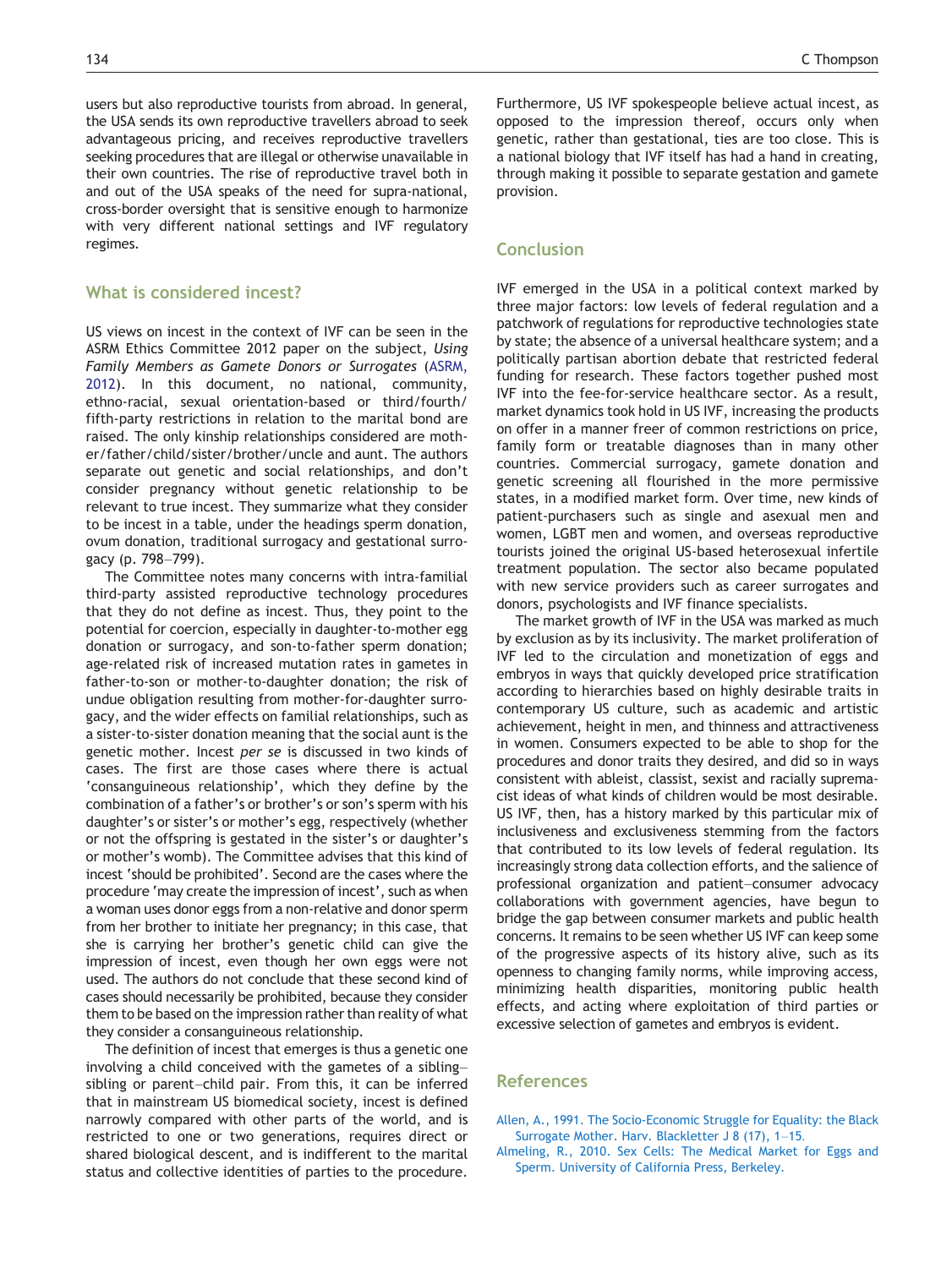<span id="page-7-0"></span>users but also reproductive tourists from abroad. In general, the USA sends its own reproductive travellers abroad to seek advantageous pricing, and receives reproductive travellers seeking procedures that are illegal or otherwise unavailable in their own countries. The rise of reproductive travel both in and out of the USA speaks of the need for supra-national, cross-border oversight that is sensitive enough to harmonize with very different national settings and IVF regulatory regimes.

#### What is considered incest?

US views on incest in the context of IVF can be seen in the ASRM Ethics Committee 2012 paper on the subject, Using Family Members as Gamete Donors or Surrogates ([ASRM,](#page-8-0) [2012](#page-8-0)). In this document, no national, community, ethno-racial, sexual orientation-based or third/fourth/ fifth-party restrictions in relation to the marital bond are raised. The only kinship relationships considered are mother/father/child/sister/brother/uncle and aunt. The authors separate out genetic and social relationships, and don't consider pregnancy without genetic relationship to be relevant to true incest. They summarize what they consider to be incest in a table, under the headings sperm donation, ovum donation, traditional surrogacy and gestational surrogacy (p. 798–799).

The Committee notes many concerns with intra-familial third-party assisted reproductive technology procedures that they do not define as incest. Thus, they point to the potential for coercion, especially in daughter-to-mother egg donation or surrogacy, and son-to-father sperm donation; age-related risk of increased mutation rates in gametes in father-to-son or mother-to-daughter donation; the risk of undue obligation resulting from mother-for-daughter surrogacy, and the wider effects on familial relationships, such as a sister-to-sister donation meaning that the social aunt is the genetic mother. Incest per se is discussed in two kinds of cases. The first are those cases where there is actual 'consanguineous relationship', which they define by the combination of a father's or brother's or son's sperm with his daughter's or sister's or mother's egg, respectively (whether or not the offspring is gestated in the sister's or daughter's or mother's womb). The Committee advises that this kind of incest 'should be prohibited'. Second are the cases where the procedure 'may create the impression of incest', such as when a woman uses donor eggs from a non-relative and donor sperm from her brother to initiate her pregnancy; in this case, that she is carrying her brother's genetic child can give the impression of incest, even though her own eggs were not used. The authors do not conclude that these second kind of cases should necessarily be prohibited, because they consider them to be based on the impression rather than reality of what they consider a consanguineous relationship.

The definition of incest that emerges is thus a genetic one involving a child conceived with the gametes of a sibling– sibling or parent–child pair. From this, it can be inferred that in mainstream US biomedical society, incest is defined narrowly compared with other parts of the world, and is restricted to one or two generations, requires direct or shared biological descent, and is indifferent to the marital status and collective identities of parties to the procedure.

Furthermore, US IVF spokespeople believe actual incest, as opposed to the impression thereof, occurs only when genetic, rather than gestational, ties are too close. This is a national biology that IVF itself has had a hand in creating, through making it possible to separate gestation and gamete provision.

#### Conclusion

IVF emerged in the USA in a political context marked by three major factors: low levels of federal regulation and a patchwork of regulations for reproductive technologies state by state; the absence of a universal healthcare system; and a politically partisan abortion debate that restricted federal funding for research. These factors together pushed most IVF into the fee-for-service healthcare sector. As a result, market dynamics took hold in US IVF, increasing the products on offer in a manner freer of common restrictions on price, family form or treatable diagnoses than in many other countries. Commercial surrogacy, gamete donation and genetic screening all flourished in the more permissive states, in a modified market form. Over time, new kinds of patient-purchasers such as single and asexual men and women, LGBT men and women, and overseas reproductive tourists joined the original US-based heterosexual infertile treatment population. The sector also became populated with new service providers such as career surrogates and donors, psychologists and IVF finance specialists.

The market growth of IVF in the USA was marked as much by exclusion as by its inclusivity. The market proliferation of IVF led to the circulation and monetization of eggs and embryos in ways that quickly developed price stratification according to hierarchies based on highly desirable traits in contemporary US culture, such as academic and artistic achievement, height in men, and thinness and attractiveness in women. Consumers expected to be able to shop for the procedures and donor traits they desired, and did so in ways consistent with ableist, classist, sexist and racially supremacist ideas of what kinds of children would be most desirable. US IVF, then, has a history marked by this particular mix of inclusiveness and exclusiveness stemming from the factors that contributed to its low levels of federal regulation. Its increasingly strong data collection efforts, and the salience of professional organization and patient–consumer advocacy collaborations with government agencies, have begun to bridge the gap between consumer markets and public health concerns. It remains to be seen whether US IVF can keep some of the progressive aspects of its history alive, such as its openness to changing family norms, while improving access, minimizing health disparities, monitoring public health effects, and acting where exploitation of third parties or excessive selection of gametes and embryos is evident.

#### References

- [Allen, A., 1991. The Socio-Economic Struggle for Equality: the Black](http://refhub.elsevier.com/S2405-6618(16)30023-5/rf0005) [Surrogate Mother. Harv. Blackletter J 8 \(17\), 1](http://refhub.elsevier.com/S2405-6618(16)30023-5/rf0005)–15.
- [Almeling, R., 2010. Sex Cells: The Medical Market for Eggs and](http://refhub.elsevier.com/S2405-6618(16)30023-5/rf0010) [Sperm. University of California Press, Berkeley](http://refhub.elsevier.com/S2405-6618(16)30023-5/rf0010).